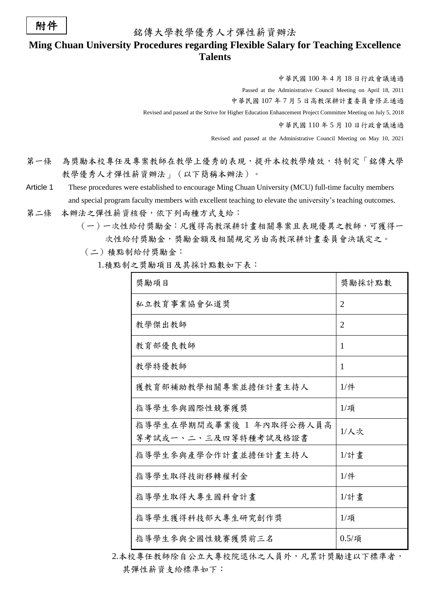## 附件

銘傳大學教學優秀人才彈性薪資辦法

## **Ming Chuan University Procedures regarding Flexible Salary for Teaching Excellence Talents**

中華民國 100 年 4 月 18 日行政會議通過

Passed at the Administrative Council Meeting on April 18, 2011

中華民國 107 年 7 月 5 日高教深耕計畫委員會修正通過

Revised and passed at the Strive for Higher Education Enhancement Project Committee Meeting on July 5, 2018

中華民國 110 年 5 月 10 日行政會議通過

Revised and passed at the Administrative Council Meeting on May 10, 2021

- 第一條 為獎勵本校專任及專案教師在教學上優秀的表現,提升本校教學績效,特制定「銘傳大學 教學優秀人才彈性薪資辦法」(以下簡稱本辦法)。
- Article 1 These procedures were established to encourage Ming Chuan University (MCU) full-time faculty members and special program faculty members with excellent teaching to elevate the university's teaching outcomes.
- 第二條 本辦法之彈性薪資核發,依下列兩種方式支給:
	- (一)一次性給付獎勵金:凡獲得高教深耕計畫相關專案且表現優異之教師,可獲得一 次性給付獎勵金,獎勵金額及相關規定另由高教深耕計畫委員會決議定之。
		- (二)積點制給付獎勵金:

1.積點制之奬勵項目及其採計點數如下表:

| 獎勵項目                                             | 獎勵採計點數            |
|--------------------------------------------------|-------------------|
| 私立教育事業協會弘道獎                                      | $\overline{2}$    |
| 教學傑出教師                                           | $\overline{2}$    |
| 教育部優良教師                                          | 1                 |
| 教學特優教師                                           | 1                 |
| 獲教育部補助教學相關專案並擔任計畫主持人                             | $1/$ 件            |
| 指導學生參與國際性競賽獲獎                                    | $1/\mathfrak{F}$  |
| 指導學生在學期間或畢業後 1 年內取得公務人員高<br>等考試或一、二、三及四等特種考試及格證書 | $1/\lambda$ 次     |
| 指導學生參與產學合作計畫並擔任計畫主持人                             | $1/\hat{s}$ 書     |
| 指導學生取得技術移轉權利金                                    | $1/$ 件            |
| 指導學生取得大專生國科會計畫                                   | $1/\hat{s}$ 畫     |
| 指導學生獲得科技部大專生研究創作獎                                | $1/\bar{4}$       |
| 指導學生參與全國性競賽獲獎前三名                                 | $0.5/\frac{1}{2}$ |

2.本校專任教師除自公立大專校院退休之人員外,凡累計獎勵達以下標準者, 其彈性薪資支給標準如下: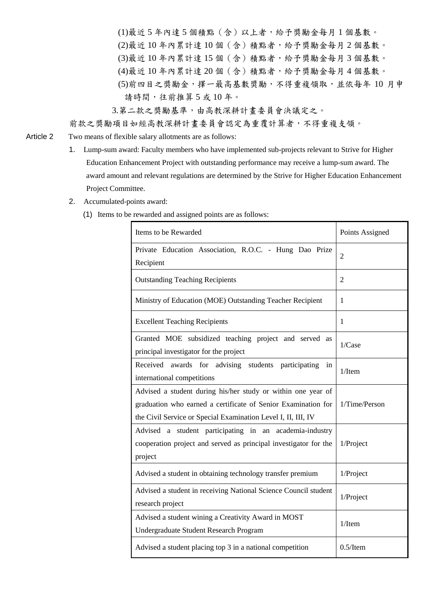(1)最近 5 年內達 5 個積點(含)以上者,給予獎勵金每月 1 個基數。

- (2)最近 10 年內累計達 10 個(含)積點者,給予獎勵金每月 2 個基數。
- (3)最近 10 年內累計達 15 個(含)積點者,給予獎勵金每月 3 個基數。
- (4)最近 10 年內累計達 20 個(含)積點者,給予獎勵金每月 4 個基數。
- (5)前四目之獎勵金,擇一最高基數奬勵,不得重複領取,並依每年 10 月申 請時間,往前推算 5 或 10 年。
- 3.第二款之獎勵基準,由高教深耕計畫委員會決議定之。

## 前款之獎勵項目如經高教深耕計畫委員會認定為重覆計算者,不得重複支領。

- Article 2 Two means of flexible salary allotments are as follows:
	- 1. Lump-sum award: Faculty members who have implemented sub-projects relevant to Strive for Higher Education Enhancement Project with outstanding performance may receive a lump-sum award. The award amount and relevant regulations are determined by the Strive for Higher Education Enhancement Project Committee.
	- 2. Accumulated-points award:
		- (1) Items to be rewarded and assigned points are as follows:

| Items to be Rewarded                                                                                                                                                                           | Points Assigned |
|------------------------------------------------------------------------------------------------------------------------------------------------------------------------------------------------|-----------------|
| Private Education Association, R.O.C. - Hung Dao Prize<br>Recipient                                                                                                                            | 2               |
| <b>Outstanding Teaching Recipients</b>                                                                                                                                                         | $\mathbf{2}$    |
| Ministry of Education (MOE) Outstanding Teacher Recipient                                                                                                                                      | 1               |
| <b>Excellent Teaching Recipients</b>                                                                                                                                                           | 1               |
| Granted MOE subsidized teaching project and served as<br>principal investigator for the project                                                                                                | $1/C$ ase       |
| Received awards for advising students participating<br>in<br>international competitions                                                                                                        | $1/$ Item       |
| Advised a student during his/her study or within one year of<br>graduation who earned a certificate of Senior Examination for<br>the Civil Service or Special Examination Level I, II, III, IV | 1/Time/Person   |
| Advised a student participating in an academia-industry<br>cooperation project and served as principal investigator for the<br>project                                                         | 1/Project       |
| Advised a student in obtaining technology transfer premium                                                                                                                                     | 1/Project       |
| Advised a student in receiving National Science Council student<br>research project                                                                                                            | 1/Project       |
| Advised a student wining a Creativity Award in MOST<br>Undergraduate Student Research Program                                                                                                  | $1/$ Item       |
| Advised a student placing top 3 in a national competition                                                                                                                                      | $0.5$ /Item     |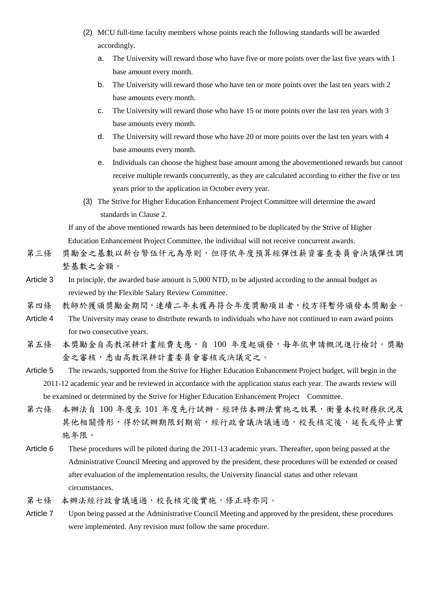- (2) MCU full-time faculty members whose points reach the following standards will be awarded accordingly.
	- a. The University will reward those who have five or more points over the last five years with 1 base amount every month.
	- b. The University will reward those who have ten or more points over the last ten years with 2 base amounts every month.
	- c. The University will reward those who have 15 or more points over the last ten years with 3 base amounts every month.
	- d. The University will reward those who have 20 or more points over the last ten years with 4 base amounts every month.
	- e. Individuals can choose the highest base amount among the abovementioned rewards but cannot receive multiple rewards concurrently, as they are calculated according to either the five or ten years prior to the application in October every year.
- (3) The Strive for Higher Education Enhancement Project Committee will determine the award standards in Clause 2.

If any of the above mentioned rewards has been determined to be duplicated by the Strive of Higher Education Enhancement Project Committee, the individual will not receive concurrent awards.

- 第三條 獎勵金之基數以新台幣伍仟元為原則,但得依年度預算經彈性薪資審查委員會決議彈性調 整基數之金額。
- Article 3 In principle, the awarded base amount is 5,000 NTD, to be adjusted according to the annual budget as reviewed by the Flexible Salary Review Committee.
- 第四條 教師於獲頒獎勵金期間,連續二年未獲再符合年度獎勵項目者,校方得暫停頒發本獎勵金。
- Article 4 The University may cease to distribute rewards to individuals who have not continued to earn award points for two consecutive years.
- 第五條 本獎勵金自高教深耕計畫經費支應,自 100 年度起頒發,每年依申請概況進行檢討。獎勵 金之審核,悉由高教深耕計畫委員會審核或決議定之。
- Article 5 The rewards, supported from the Strive for Higher Education Enhancement Project budget, will begin in the 2011-12 academic year and be reviewed in accordance with the application status each year. The awards review will be examined or determined by the Strive for Higher Education Enhancement Project Committee.
- 第六條 本辦法自 100 年度至 101 年度先行試辦。經評估本辦法實施之效果,衡量本校財務狀況及 其他相關情形,得於試辦期限到期前,經行政會議決議通過,校長核定後,延長或停止實 施年限。
- Article 6 These procedures will be piloted during the 2011-13 academic years. Thereafter, upon being passed at the Administrative Council Meeting and approved by the president, these procedures will be extended or ceased after evaluation of the implementation results, the University financial status and other relevant circumstances.
- 第七條 本辦法經行政會議通過,校長核定後實施,修正時亦同。
- Article 7 Upon being passed at the Administrative Council Meeting and approved by the president, these procedures were implemented. Any revision must follow the same procedure.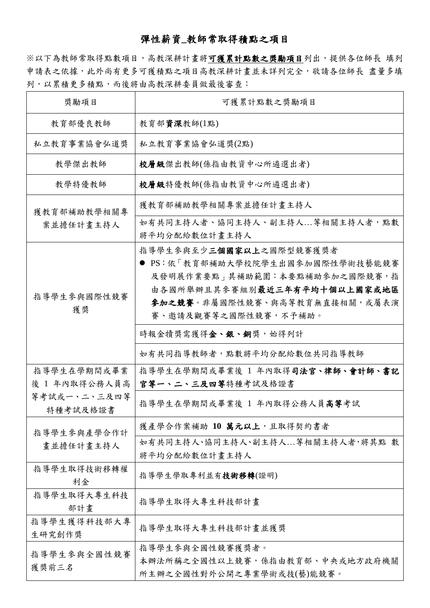## 彈性薪資**\_**教師常取得積點之項目

※以下為教師常取得點數項目,高教深耕計畫將可獲累計點數之獎勵項目列出,提供各位師長 填列 申請表之依據,此外尚有更多可獲積點之項目高教深耕計畫並未詳列完全,敬請各位師長 盡量多填 列,以累積更多積點,而後將由高教深耕委員做最後審查:

| 獎勵項目                         | 可獲累計點數之獎勵項目                                                                                                                                                                           |
|------------------------------|---------------------------------------------------------------------------------------------------------------------------------------------------------------------------------------|
| 教育部優良教師                      | 教育部資深教師(1點)                                                                                                                                                                           |
| 私立教育事業協會弘道獎                  | 私立教育事業協會弘道獎(2點)                                                                                                                                                                       |
| 教學傑出教師                       | 校層級傑出教師(係指由教資中心所遴選出者)                                                                                                                                                                 |
| 教學特優教師                       | 校層級特優教師(係指由教資中心所遴選出者)                                                                                                                                                                 |
| 獲教育部補助教學相關專<br>案並擔任計畫主持人     | 獲教育部補助教學相關專案並擔任計畫主持人                                                                                                                                                                  |
|                              | 如有共同主持人者、協同主持人、副主持人等相關主持人者,點數<br>將平均分配給數位計畫主持人                                                                                                                                        |
| 指導學生參與國際性競賽<br>獲獎            | 指導學生參與至少三個國家以上之國際型競賽獲獎者<br>● PS:依「教育部補助大學校院學生出國參加國際性學術技藝能競賽<br>及發明展作業要點」其補助範圍:本要點補助參加之國際競賽,指<br>由各國所舉辦且其參賽組別最近三年有平均十個以上國家或地區<br>参加之競賽。非屬國際性競賽、與高等教育無直接相關,或屬表演<br>賽、邀請及觀賽等之國際性競賽,不予補助。 |
|                              | 時報金犢獎需獲得金、銀、銅獎, 始得列計                                                                                                                                                                  |
|                              | 如有共同指導教師者,點數將平均分配給數位共同指導教師                                                                                                                                                            |
| 指導學生在學期間或畢業<br>後 1 年內取得公務人員高 | 指導學生在學期間或畢業後 1 年內取得司法官、律師、會計師、書記<br>官等一、二、三及四等特種考試及格證書                                                                                                                                |
| 等考試或一、二、三及四等<br>特種考試及格證書     | 指導學生在學期間或畢業後 1 年內取得公務人員高等考試                                                                                                                                                           |
| 指導學生參與產學合作計                  | 獲產學合作案補助 10 萬元以上,且取得契約書者                                                                                                                                                              |
| 畫並擔任計畫主持人                    | 如有共同主持人、協同主持人、副主持人等相關主持人者,將其點 數<br>將平均分配給數位計書主持人                                                                                                                                      |
| 指導學生取得技術移轉權<br>利金            | 指導學生學取專利並有技術移轉(證明)                                                                                                                                                                    |
| 指導學生取得大專生科技<br>部計書           | 指導學生取得大專生科技部計畫                                                                                                                                                                        |
| 指導學生獲得科技部大專<br>生研究創作獎        | 指導學生取得大專生科技部計畫並獲獎                                                                                                                                                                     |
| 指導學生參與全國性競賽<br>獲獎前三名         | 指導學生參與全國性競賽獲獎者。<br>本辦法所稱之全國性以上競賽,係指由教育部、中央或地方政府機關<br>所主辦之全國性對外公開之專業學術或技(藝)能競賽。                                                                                                        |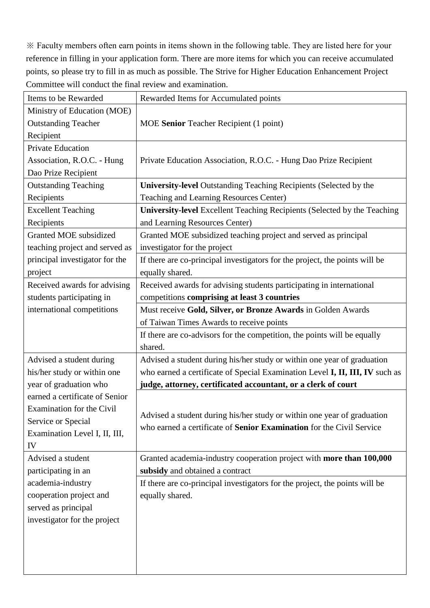※ Faculty members often earn points in items shown in the following table. They are listed here for your reference in filling in your application form. There are more items for which you can receive accumulated points, so please try to fill in as much as possible. The Strive for Higher Education Enhancement Project Committee will conduct the final review and examination.

| Items to be Rewarded           | Rewarded Items for Accumulated points                                           |
|--------------------------------|---------------------------------------------------------------------------------|
| Ministry of Education (MOE)    |                                                                                 |
| <b>Outstanding Teacher</b>     | MOE Senior Teacher Recipient (1 point)                                          |
| Recipient                      |                                                                                 |
| <b>Private Education</b>       |                                                                                 |
| Association, R.O.C. - Hung     | Private Education Association, R.O.C. - Hung Dao Prize Recipient                |
| Dao Prize Recipient            |                                                                                 |
| <b>Outstanding Teaching</b>    | <b>University-level</b> Outstanding Teaching Recipients (Selected by the        |
| Recipients                     | Teaching and Learning Resources Center)                                         |
| <b>Excellent Teaching</b>      | <b>University-level</b> Excellent Teaching Recipients (Selected by the Teaching |
| Recipients                     | and Learning Resources Center)                                                  |
| Granted MOE subsidized         | Granted MOE subsidized teaching project and served as principal                 |
| teaching project and served as | investigator for the project                                                    |
| principal investigator for the | If there are co-principal investigators for the project, the points will be     |
| project                        | equally shared.                                                                 |
| Received awards for advising   | Received awards for advising students participating in international            |
| students participating in      | competitions comprising at least 3 countries                                    |
| international competitions     | Must receive Gold, Silver, or Bronze Awards in Golden Awards                    |
|                                | of Taiwan Times Awards to receive points                                        |
|                                | If there are co-advisors for the competition, the points will be equally        |
|                                | shared.                                                                         |
| Advised a student during       | Advised a student during his/her study or within one year of graduation         |
| his/her study or within one    | who earned a certificate of Special Examination Level I, II, III, IV such as    |
| year of graduation who         | judge, attorney, certificated accountant, or a clerk of court                   |
| earned a certificate of Senior |                                                                                 |
| Examination for the Civil      |                                                                                 |
| Service or Special             | Advised a student during his/her study or within one year of graduation         |
| Examination Level I, II, III,  | who earned a certificate of Senior Examination for the Civil Service            |
| IV                             |                                                                                 |
| Advised a student              | Granted academia-industry cooperation project with more than 100,000            |
| participating in an            | subsidy and obtained a contract                                                 |
| academia-industry              | If there are co-principal investigators for the project, the points will be     |
| cooperation project and        | equally shared.                                                                 |
| served as principal            |                                                                                 |
| investigator for the project   |                                                                                 |
|                                |                                                                                 |
|                                |                                                                                 |
|                                |                                                                                 |
|                                |                                                                                 |